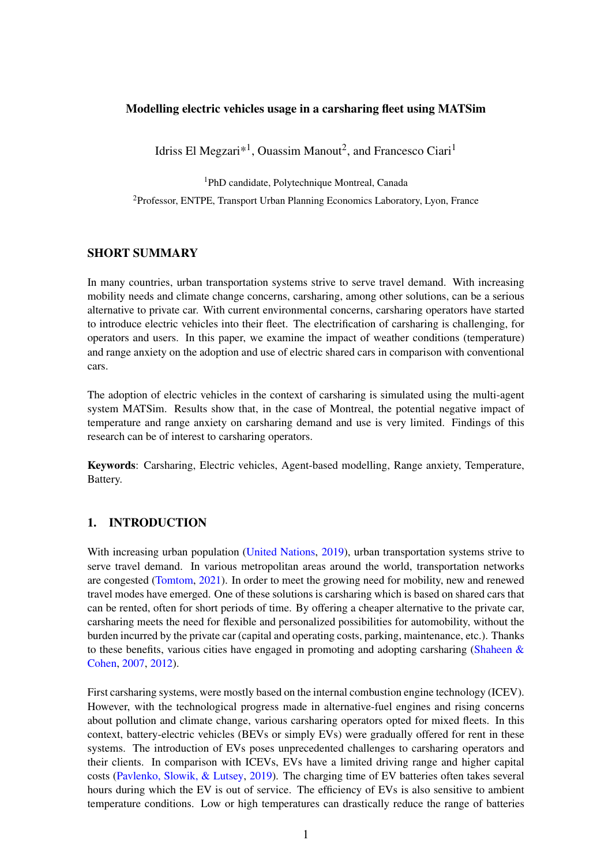### Modelling electric vehicles usage in a carsharing fleet using MATSim

Idriss El Megzari\*<sup>1</sup>, Ouassim Manout<sup>2</sup>, and Francesco Ciari<sup>1</sup>

<sup>1</sup>PhD candidate, Polytechnique Montreal, Canada

<sup>2</sup>Professor, ENTPE, Transport Urban Planning Economics Laboratory, Lyon, France

# SHORT SUMMARY

In many countries, urban transportation systems strive to serve travel demand. With increasing mobility needs and climate change concerns, carsharing, among other solutions, can be a serious alternative to private car. With current environmental concerns, carsharing operators have started to introduce electric vehicles into their fleet. The electrification of carsharing is challenging, for operators and users. In this paper, we examine the impact of weather conditions (temperature) and range anxiety on the adoption and use of electric shared cars in comparison with conventional cars.

The adoption of electric vehicles in the context of carsharing is simulated using the multi-agent system MATSim. Results show that, in the case of Montreal, the potential negative impact of temperature and range anxiety on carsharing demand and use is very limited. Findings of this research can be of interest to carsharing operators.

Keywords: Carsharing, Electric vehicles, Agent-based modelling, Range anxiety, Temperature, Battery.

## 1. INTRODUCTION

With increasing urban population [\(United Nations,](#page-7-0) [2019\)](#page-7-0), urban transportation systems strive to serve travel demand. In various metropolitan areas around the world, transportation networks are congested [\(Tomtom,](#page-6-0) [2021\)](#page-6-0). In order to meet the growing need for mobility, new and renewed travel modes have emerged. One of these solutions is carsharing which is based on shared cars that can be rented, often for short periods of time. By offering a cheaper alternative to the private car, carsharing meets the need for flexible and personalized possibilities for automobility, without the burden incurred by the private car (capital and operating costs, parking, maintenance, etc.). Thanks to these benefits, various cities have engaged in promoting and adopting carsharing (Shaheen  $\&$ [Cohen,](#page-6-1) [2007,](#page-6-1) [2012\)](#page-6-2).

First carsharing systems, were mostly based on the internal combustion engine technology (ICEV). However, with the technological progress made in alternative-fuel engines and rising concerns about pollution and climate change, various carsharing operators opted for mixed fleets. In this context, battery-electric vehicles (BEVs or simply EVs) were gradually offered for rent in these systems. The introduction of EVs poses unprecedented challenges to carsharing operators and their clients. In comparison with ICEVs, EVs have a limited driving range and higher capital costs [\(Pavlenko, Slowik, & Lutsey,](#page-6-3) [2019\)](#page-6-3). The charging time of EV batteries often takes several hours during which the EV is out of service. The efficiency of EVs is also sensitive to ambient temperature conditions. Low or high temperatures can drastically reduce the range of batteries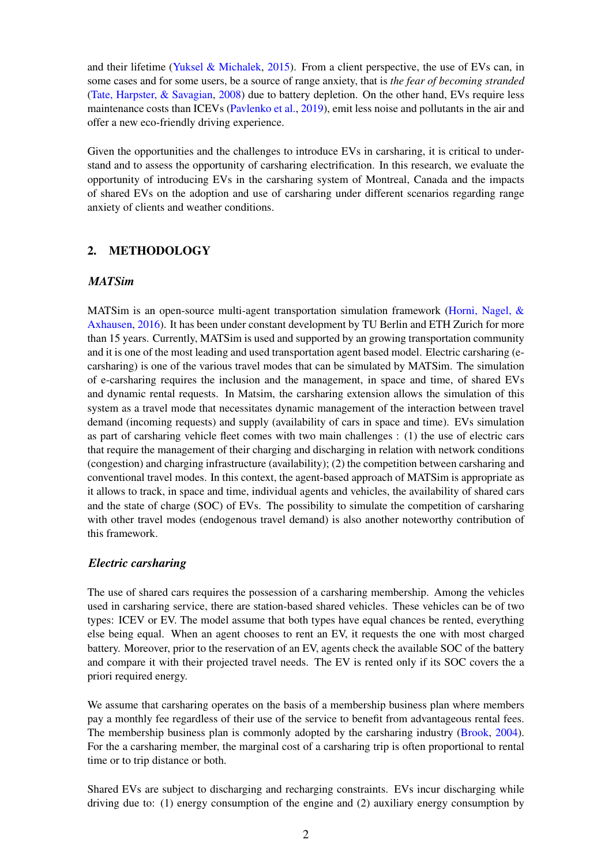and their lifetime [\(Yuksel & Michalek,](#page-7-1) [2015\)](#page-7-1). From a client perspective, the use of EVs can, in some cases and for some users, be a source of range anxiety, that is *the fear of becoming stranded* [\(Tate, Harpster, & Savagian,](#page-6-4) [2008\)](#page-6-4) due to battery depletion. On the other hand, EVs require less maintenance costs than ICEVs [\(Pavlenko et al.,](#page-6-3) [2019\)](#page-6-3), emit less noise and pollutants in the air and offer a new eco-friendly driving experience.

Given the opportunities and the challenges to introduce EVs in carsharing, it is critical to understand and to assess the opportunity of carsharing electrification. In this research, we evaluate the opportunity of introducing EVs in the carsharing system of Montreal, Canada and the impacts of shared EVs on the adoption and use of carsharing under different scenarios regarding range anxiety of clients and weather conditions.

## 2. METHODOLOGY

#### *MATSim*

MATSim is an open-source multi-agent transportation simulation framework [\(Horni, Nagel, &](#page-6-5) [Axhausen,](#page-6-5) [2016\)](#page-6-5). It has been under constant development by TU Berlin and ETH Zurich for more than 15 years. Currently, MATSim is used and supported by an growing transportation community and it is one of the most leading and used transportation agent based model. Electric carsharing (ecarsharing) is one of the various travel modes that can be simulated by MATSim. The simulation of e-carsharing requires the inclusion and the management, in space and time, of shared EVs and dynamic rental requests. In Matsim, the carsharing extension allows the simulation of this system as a travel mode that necessitates dynamic management of the interaction between travel demand (incoming requests) and supply (availability of cars in space and time). EVs simulation as part of carsharing vehicle fleet comes with two main challenges : (1) the use of electric cars that require the management of their charging and discharging in relation with network conditions (congestion) and charging infrastructure (availability); (2) the competition between carsharing and conventional travel modes. In this context, the agent-based approach of MATSim is appropriate as it allows to track, in space and time, individual agents and vehicles, the availability of shared cars and the state of charge (SOC) of EVs. The possibility to simulate the competition of carsharing with other travel modes (endogenous travel demand) is also another noteworthy contribution of this framework.

### *Electric carsharing*

The use of shared cars requires the possession of a carsharing membership. Among the vehicles used in carsharing service, there are station-based shared vehicles. These vehicles can be of two types: ICEV or EV. The model assume that both types have equal chances be rented, everything else being equal. When an agent chooses to rent an EV, it requests the one with most charged battery. Moreover, prior to the reservation of an EV, agents check the available SOC of the battery and compare it with their projected travel needs. The EV is rented only if its SOC covers the a priori required energy.

We assume that carsharing operates on the basis of a membership business plan where members pay a monthly fee regardless of their use of the service to benefit from advantageous rental fees. The membership business plan is commonly adopted by the carsharing industry [\(Brook,](#page-6-6) [2004\)](#page-6-6). For the a carsharing member, the marginal cost of a carsharing trip is often proportional to rental time or to trip distance or both.

Shared EVs are subject to discharging and recharging constraints. EVs incur discharging while driving due to: (1) energy consumption of the engine and (2) auxiliary energy consumption by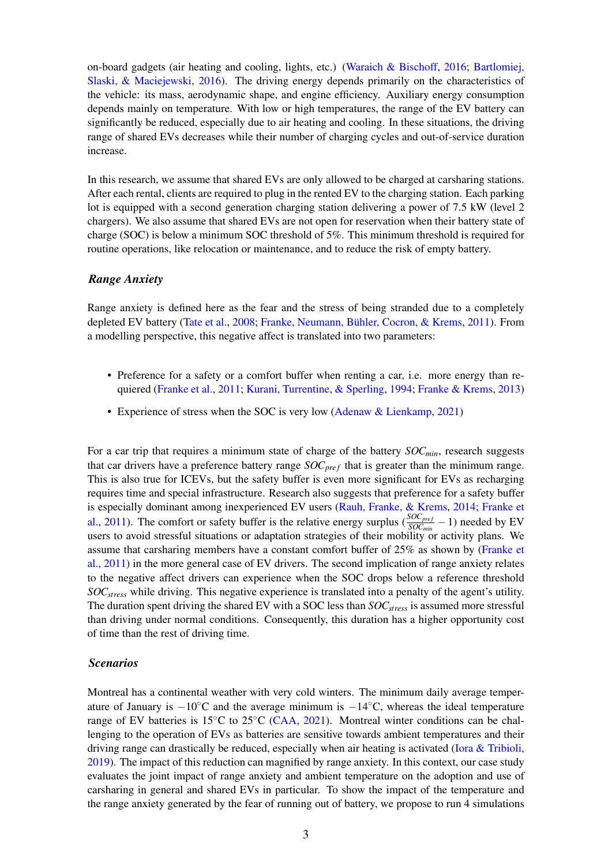on-board gadgets (air heating and cooling, lights, etc.) [\(Waraich & Bischoff,](#page-7-2) [2016;](#page-7-2) [Bartlomiej,](#page-5-0) [Slaski, & Maciejewski,](#page-5-0) [2016\)](#page-5-0). The driving energy depends primarily on the characteristics of the vehicle: its mass, aerodynamic shape, and engine efficiency. Auxiliary energy consumption depends mainly on temperature. With low or high temperatures, the range of the EV battery can significantly be reduced, especially due to air heating and cooling. In these situations, the driving range of shared EVs decreases while their number of charging cycles and out-of-service duration increase.

In this research, we assume that shared EVs are only allowed to be charged at carsharing stations. After each rental, clients are required to plug in the rented EV to the charging station. Each parking lot is equipped with a second generation charging station delivering a power of 7.5 kW (level 2 chargers). We also assume that shared EVs are not open for reservation when their battery state of charge (SOC) is below a minimum SOC threshold of 5%. This minimum threshold is required for routine operations, like relocation or maintenance, and to reduce the risk of empty battery.

#### *Range Anxiety*

Range anxiety is defined here as the fear and the stress of being stranded due to a completely depleted EV battery [\(Tate et al.,](#page-6-4) [2008;](#page-6-4) [Franke, Neumann, Bühler, Cocron, & Krems,](#page-6-7) [2011\)](#page-6-7). From a modelling perspective, this negative affect is translated into two parameters:

- Preference for a safety or a comfort buffer when renting a car, i.e. more energy than requiered [\(Franke et al.,](#page-6-7) [2011;](#page-6-7) [Kurani, Turrentine, & Sperling,](#page-6-8) [1994;](#page-6-8) [Franke & Krems,](#page-6-9) [2013\)](#page-6-9)
- Experience of stress when the SOC is very low [\(Adenaw & Lienkamp,](#page-5-1) [2021\)](#page-5-1)

For a car trip that requires a minimum state of charge of the battery *SOCmin*, research suggests that car drivers have a preference battery range *SOC<sub>pref</sub>* that is greater than the minimum range. This is also true for ICEVs, but the safety buffer is even more significant for EVs as recharging requires time and special infrastructure. Research also suggests that preference for a safety buffer is especially dominant among inexperienced EV users [\(Rauh, Franke, & Krems,](#page-6-10) [2014;](#page-6-10) [Franke et](#page-6-7) [al.,](#page-6-7) [2011\)](#page-6-7). The comfort or safety buffer is the relative energy surplus ( $\frac{SOC_{pref}}{SOC_{min}} - 1$ ) needed by EV users to avoid stressful situations or adaptation strategies of their mobility or activity plans. We assume that carsharing members have a constant comfort buffer of 25% as shown by [\(Franke et](#page-6-7) [al.,](#page-6-7) [2011\)](#page-6-7) in the more general case of EV drivers. The second implication of range anxiety relates to the negative affect drivers can experience when the SOC drops below a reference threshold *SOCstress* while driving. This negative experience is translated into a penalty of the agent's utility. The duration spent driving the shared EV with a SOC less than *SOCstress* is assumed more stressful than driving under normal conditions. Consequently, this duration has a higher opportunity cost of time than the rest of driving time.

#### *Scenarios*

Montreal has a continental weather with very cold winters. The minimum daily average temperature of January is  $-10\degree C$  and the average minimum is  $-14\degree C$ , whereas the ideal temperature range of EV batteries is 15◦C to 25◦C [\(CAA,](#page-6-11) [2021\)](#page-6-11). Montreal winter conditions can be challenging to the operation of EVs as batteries are sensitive towards ambient temperatures and their driving range can drastically be reduced, especially when air heating is activated (Iora  $&$  Tribioli, [2019\)](#page-6-12). The impact of this reduction can magnified by range anxiety. In this context, our case study evaluates the joint impact of range anxiety and ambient temperature on the adoption and use of carsharing in general and shared EVs in particular. To show the impact of the temperature and the range anxiety generated by the fear of running out of battery, we propose to run 4 simulations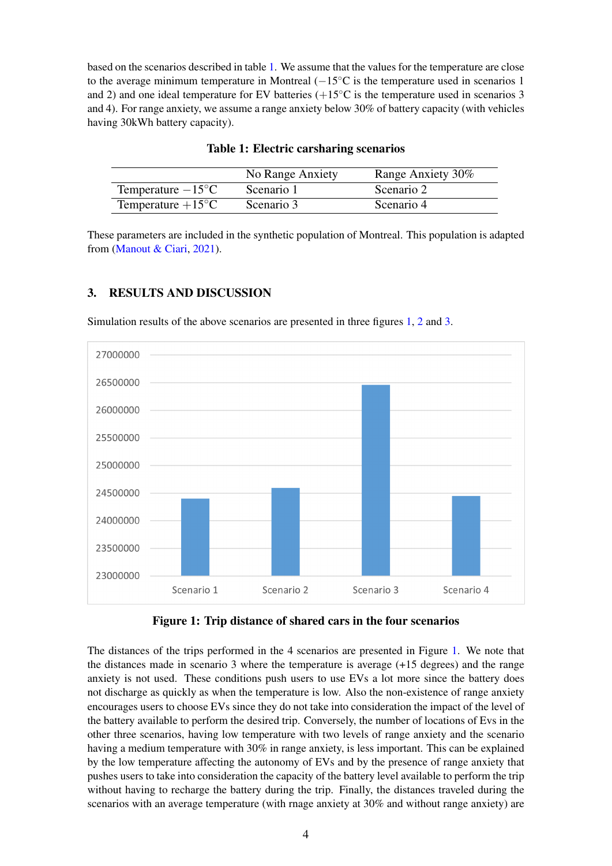based on the scenarios described in table [1.](#page-3-0) We assume that the values for the temperature are close to the average minimum temperature in Montreal  $(-15°C)$  is the temperature used in scenarios 1 and 2) and one ideal temperature for EV batteries  $(+15°C)$  is the temperature used in scenarios 3 and 4). For range anxiety, we assume a range anxiety below 30% of battery capacity (with vehicles having 30kWh battery capacity).

<span id="page-3-0"></span>

|                             | No Range Anxiety | Range Anxiety 30% |
|-----------------------------|------------------|-------------------|
| Temperature $-15^{\circ}$ C | Scenario 1       | Scenario 2        |
| Temperature $+15^{\circ}$ C | Scenario 3       | Scenario 4        |

|  | <b>Table 1: Electric carsharing scenarios</b> |  |
|--|-----------------------------------------------|--|
|  |                                               |  |

These parameters are included in the synthetic population of Montreal. This population is adapted from [\(Manout & Ciari,](#page-6-13) [2021\)](#page-6-13).

## 3. RESULTS AND DISCUSSION

<span id="page-3-1"></span>

Simulation results of the above scenarios are presented in three figures [1,](#page-3-1) [2](#page-4-0) and [3.](#page-5-2)

Figure 1: Trip distance of shared cars in the four scenarios

The distances of the trips performed in the 4 scenarios are presented in Figure [1.](#page-3-1) We note that the distances made in scenario 3 where the temperature is average (+15 degrees) and the range anxiety is not used. These conditions push users to use EVs a lot more since the battery does not discharge as quickly as when the temperature is low. Also the non-existence of range anxiety encourages users to choose EVs since they do not take into consideration the impact of the level of the battery available to perform the desired trip. Conversely, the number of locations of Evs in the other three scenarios, having low temperature with two levels of range anxiety and the scenario having a medium temperature with 30% in range anxiety, is less important. This can be explained by the low temperature affecting the autonomy of EVs and by the presence of range anxiety that pushes users to take into consideration the capacity of the battery level available to perform the trip without having to recharge the battery during the trip. Finally, the distances traveled during the scenarios with an average temperature (with rnage anxiety at 30% and without range anxiety) are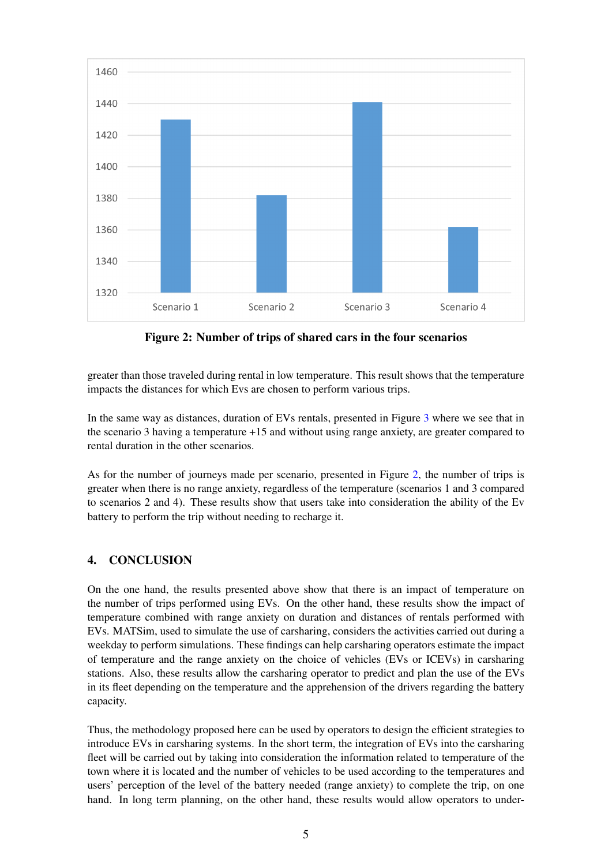<span id="page-4-0"></span>

Figure 2: Number of trips of shared cars in the four scenarios

greater than those traveled during rental in low temperature. This result shows that the temperature impacts the distances for which Evs are chosen to perform various trips.

In the same way as distances, duration of EVs rentals, presented in Figure [3](#page-5-2) where we see that in the scenario 3 having a temperature +15 and without using range anxiety, are greater compared to rental duration in the other scenarios.

As for the number of journeys made per scenario, presented in Figure [2,](#page-4-0) the number of trips is greater when there is no range anxiety, regardless of the temperature (scenarios 1 and 3 compared to scenarios 2 and 4). These results show that users take into consideration the ability of the Ev battery to perform the trip without needing to recharge it.

# 4. CONCLUSION

On the one hand, the results presented above show that there is an impact of temperature on the number of trips performed using EVs. On the other hand, these results show the impact of temperature combined with range anxiety on duration and distances of rentals performed with EVs. MATSim, used to simulate the use of carsharing, considers the activities carried out during a weekday to perform simulations. These findings can help carsharing operators estimate the impact of temperature and the range anxiety on the choice of vehicles (EVs or ICEVs) in carsharing stations. Also, these results allow the carsharing operator to predict and plan the use of the EVs in its fleet depending on the temperature and the apprehension of the drivers regarding the battery capacity.

Thus, the methodology proposed here can be used by operators to design the efficient strategies to introduce EVs in carsharing systems. In the short term, the integration of EVs into the carsharing fleet will be carried out by taking into consideration the information related to temperature of the town where it is located and the number of vehicles to be used according to the temperatures and users' perception of the level of the battery needed (range anxiety) to complete the trip, on one hand. In long term planning, on the other hand, these results would allow operators to under-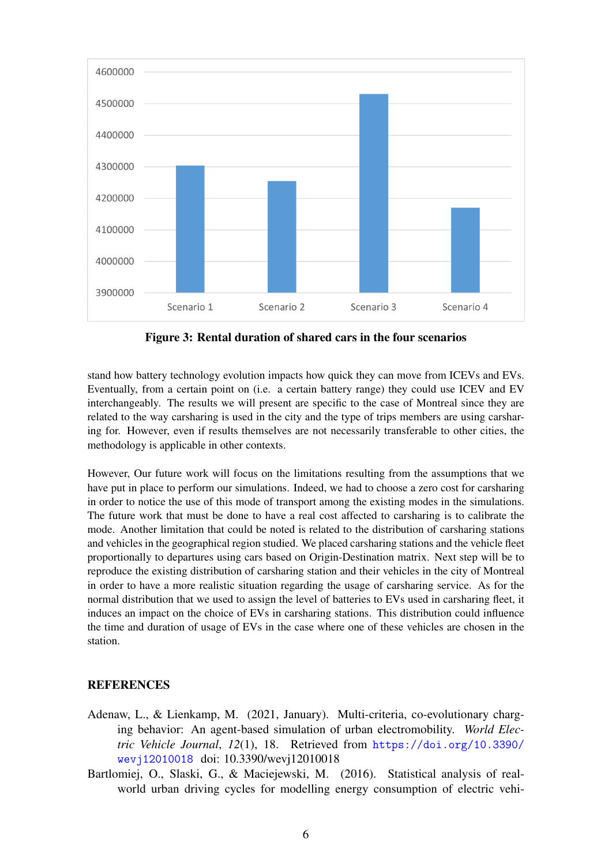<span id="page-5-2"></span>

Figure 3: Rental duration of shared cars in the four scenarios

stand how battery technology evolution impacts how quick they can move from ICEVs and EVs. Eventually, from a certain point on (i.e. a certain battery range) they could use ICEV and EV interchangeably. The results we will present are specific to the case of Montreal since they are related to the way carsharing is used in the city and the type of trips members are using carsharing for. However, even if results themselves are not necessarily transferable to other cities, the methodology is applicable in other contexts.

However, Our future work will focus on the limitations resulting from the assumptions that we have put in place to perform our simulations. Indeed, we had to choose a zero cost for carsharing in order to notice the use of this mode of transport among the existing modes in the simulations. The future work that must be done to have a real cost affected to carsharing is to calibrate the mode. Another limitation that could be noted is related to the distribution of carsharing stations and vehicles in the geographical region studied. We placed carsharing stations and the vehicle fleet proportionally to departures using cars based on Origin-Destination matrix. Next step will be to reproduce the existing distribution of carsharing station and their vehicles in the city of Montreal in order to have a more realistic situation regarding the usage of carsharing service. As for the normal distribution that we used to assign the level of batteries to EVs used in carsharing fleet, it induces an impact on the choice of EVs in carsharing stations. This distribution could influence the time and duration of usage of EVs in the case where one of these vehicles are chosen in the station.

## **REFERENCES**

- <span id="page-5-1"></span>Adenaw, L., & Lienkamp, M. (2021, January). Multi-criteria, co-evolutionary charging behavior: An agent-based simulation of urban electromobility. *World Electric Vehicle Journal*, *12*(1), 18. Retrieved from [https://doi.org/10.3390/](https://doi.org/10.3390/wevj12010018) [wevj12010018](https://doi.org/10.3390/wevj12010018) doi: 10.3390/wevj12010018
- <span id="page-5-0"></span>Bartlomiej, O., Slaski, G., & Maciejewski, M. (2016). Statistical analysis of realworld urban driving cycles for modelling energy consumption of electric vehi-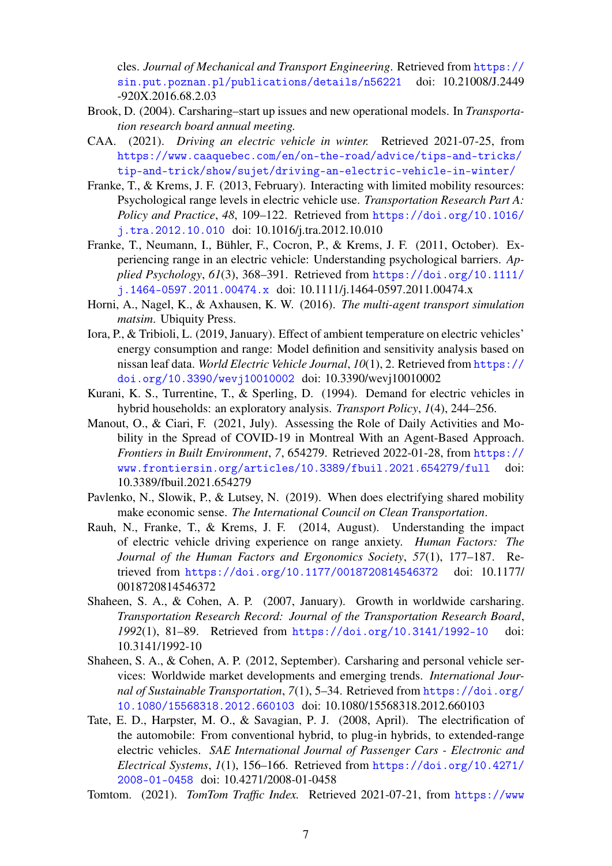cles. *Journal of Mechanical and Transport Engineering*. Retrieved from [https://](https://sin.put.poznan.pl/publications/details/n56221) [sin.put.poznan.pl/publications/details/n56221](https://sin.put.poznan.pl/publications/details/n56221) doi: 10.21008/J.2449 -920X.2016.68.2.03

- <span id="page-6-6"></span>Brook, D. (2004). Carsharing–start up issues and new operational models. In *Transportation research board annual meeting.*
- <span id="page-6-11"></span>CAA. (2021). *Driving an electric vehicle in winter.* Retrieved 2021-07-25, from [https://www.caaquebec.com/en/on-the-road/advice/tips-and-tricks/](https://www.caaquebec.com/en/on-the-road/advice/tips-and-tricks/tip-and-trick/show/sujet/driving-an-electric-vehicle-in-winter/) [tip-and-trick/show/sujet/driving-an-electric-vehicle-in-winter/](https://www.caaquebec.com/en/on-the-road/advice/tips-and-tricks/tip-and-trick/show/sujet/driving-an-electric-vehicle-in-winter/)
- <span id="page-6-9"></span>Franke, T., & Krems, J. F. (2013, February). Interacting with limited mobility resources: Psychological range levels in electric vehicle use. *Transportation Research Part A: Policy and Practice*, *48*, 109–122. Retrieved from [https://doi.org/10.1016/](https://doi.org/10.1016/j.tra.2012.10.010) [j.tra.2012.10.010](https://doi.org/10.1016/j.tra.2012.10.010) doi: 10.1016/j.tra.2012.10.010
- <span id="page-6-7"></span>Franke, T., Neumann, I., Bühler, F., Cocron, P., & Krems, J. F. (2011, October). Experiencing range in an electric vehicle: Understanding psychological barriers. *Applied Psychology*, *61*(3), 368–391. Retrieved from [https://doi.org/10.1111/](https://doi.org/10.1111/j.1464-0597.2011.00474.x) [j.1464-0597.2011.00474.x](https://doi.org/10.1111/j.1464-0597.2011.00474.x) doi: 10.1111/j.1464-0597.2011.00474.x
- <span id="page-6-5"></span>Horni, A., Nagel, K., & Axhausen, K. W. (2016). *The multi-agent transport simulation matsim*. Ubiquity Press.
- <span id="page-6-12"></span>Iora, P., & Tribioli, L. (2019, January). Effect of ambient temperature on electric vehicles' energy consumption and range: Model definition and sensitivity analysis based on nissan leaf data. *World Electric Vehicle Journal*, *10*(1), 2. Retrieved from [https://](https://doi.org/10.3390/wevj10010002) [doi.org/10.3390/wevj10010002](https://doi.org/10.3390/wevj10010002) doi: 10.3390/wevj10010002
- <span id="page-6-8"></span>Kurani, K. S., Turrentine, T., & Sperling, D. (1994). Demand for electric vehicles in hybrid households: an exploratory analysis. *Transport Policy*, *1*(4), 244–256.
- <span id="page-6-13"></span>Manout, O., & Ciari, F. (2021, July). Assessing the Role of Daily Activities and Mobility in the Spread of COVID-19 in Montreal With an Agent-Based Approach. *Frontiers in Built Environment*, *7*, 654279. Retrieved 2022-01-28, from [https://](https://www.frontiersin.org/articles/10.3389/fbuil.2021.654279/full) [www.frontiersin.org/articles/10.3389/fbuil.2021.654279/full](https://www.frontiersin.org/articles/10.3389/fbuil.2021.654279/full) doi: 10.3389/fbuil.2021.654279
- <span id="page-6-3"></span>Pavlenko, N., Slowik, P., & Lutsey, N. (2019). When does electrifying shared mobility make economic sense. *The International Council on Clean Transportation*.
- <span id="page-6-10"></span>Rauh, N., Franke, T., & Krems, J. F. (2014, August). Understanding the impact of electric vehicle driving experience on range anxiety. *Human Factors: The Journal of the Human Factors and Ergonomics Society*, *57*(1), 177–187. Retrieved from <https://doi.org/10.1177/0018720814546372> doi: 10.1177/ 0018720814546372
- <span id="page-6-1"></span>Shaheen, S. A., & Cohen, A. P. (2007, January). Growth in worldwide carsharing. *Transportation Research Record: Journal of the Transportation Research Board*, *1992*(1), 81–89. Retrieved from <https://doi.org/10.3141/1992-10> doi: 10.3141/1992-10
- <span id="page-6-2"></span>Shaheen, S. A., & Cohen, A. P. (2012, September). Carsharing and personal vehicle services: Worldwide market developments and emerging trends. *International Journal of Sustainable Transportation*, *7*(1), 5–34. Retrieved from [https://doi.org/](https://doi.org/10.1080/15568318.2012.660103) [10.1080/15568318.2012.660103](https://doi.org/10.1080/15568318.2012.660103) doi: 10.1080/15568318.2012.660103
- <span id="page-6-4"></span>Tate, E. D., Harpster, M. O., & Savagian, P. J. (2008, April). The electrification of the automobile: From conventional hybrid, to plug-in hybrids, to extended-range electric vehicles. *SAE International Journal of Passenger Cars - Electronic and Electrical Systems*, *1*(1), 156–166. Retrieved from [https://doi.org/10.4271/](https://doi.org/10.4271/2008-01-0458) [2008-01-0458](https://doi.org/10.4271/2008-01-0458) doi: 10.4271/2008-01-0458
- <span id="page-6-0"></span>Tomtom. (2021). *TomTom Traffic Index.* Retrieved 2021-07-21, from [https://www](https://www.tomtom.com/en_gb/traffic-index/)